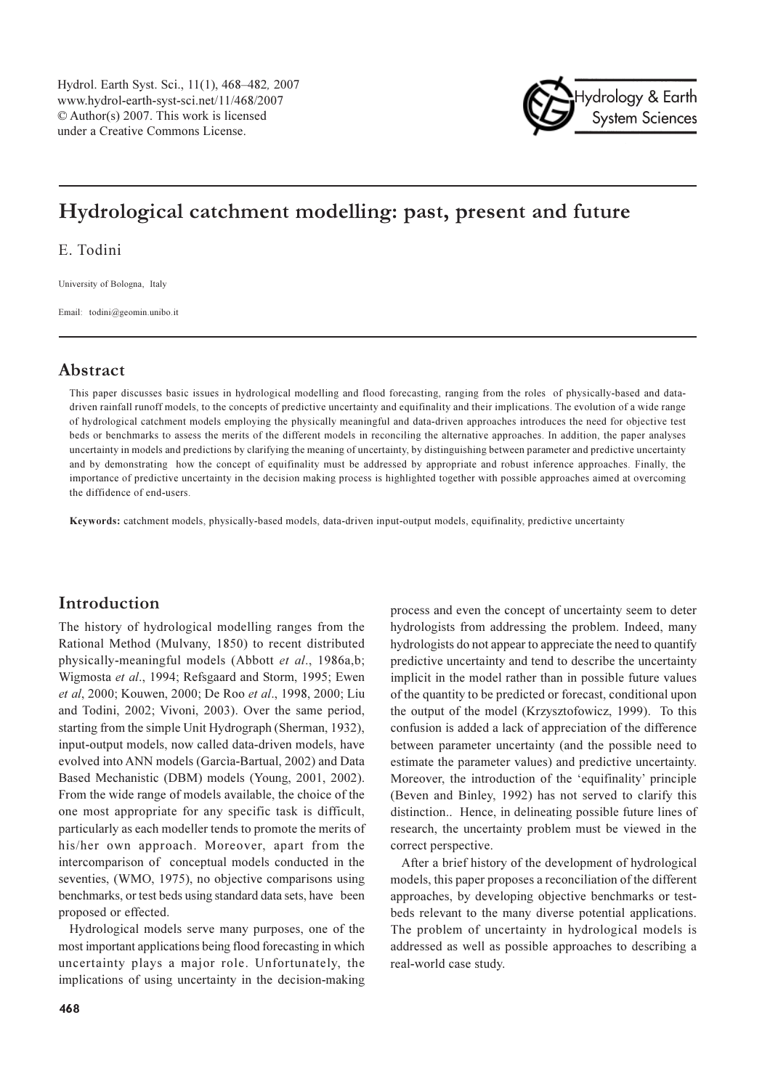

# Hydrological catchment modelling: past, present and future

E. Todini

University of Bologna, Italy

Email: todini@geomin.unibo.it

## Abstract

This paper discusses basic issues in hydrological modelling and flood forecasting, ranging from the roles of physically-based and datadriven rainfall runoff models, to the concepts of predictive uncertainty and equifinality and their implications. The evolution of a wide range of hydrological catchment models employing the physically meaningful and data-driven approaches introduces the need for objective test beds or benchmarks to assess the merits of the different models in reconciling the alternative approaches. In addition, the paper analyses uncertainty in models and predictions by clarifying the meaning of uncertainty, by distinguishing between parameter and predictive uncertainty and by demonstrating how the concept of equifinality must be addressed by appropriate and robust inference approaches. Finally, the importance of predictive uncertainty in the decision making process is highlighted together with possible approaches aimed at overcoming the diffidence of end-users.

Keywords: catchment models, physically-based models, data-driven input-output models, equifinality, predictive uncertainty

## Introduction

The history of hydrological modelling ranges from the Rational Method (Mulvany, 1850) to recent distributed physically-meaningful models (Abbott et al., 1986a.b: Wigmosta et al., 1994; Refsgaard and Storm, 1995; Ewen et al, 2000; Kouwen, 2000; De Roo et al., 1998, 2000; Liu and Todini, 2002; Vivoni, 2003). Over the same period, starting from the simple Unit Hydrograph (Sherman, 1932), input-output models, now called data-driven models, have evolved into ANN models (Garcia-Bartual, 2002) and Data Based Mechanistic (DBM) models (Young, 2001, 2002). From the wide range of models available, the choice of the one most appropriate for any specific task is difficult, particularly as each modeller tends to promote the merits of his/her own approach. Moreover, apart from the intercomparison of conceptual models conducted in the seventies, (WMO, 1975), no objective comparisons using benchmarks, or test beds using standard data sets, have been proposed or effected.

Hydrological models serve many purposes, one of the most important applications being flood forecasting in which uncertainty plays a major role. Unfortunately, the implications of using uncertainty in the decision-making process and even the concept of uncertainty seem to deter hydrologists from addressing the problem. Indeed, many hydrologists do not appear to appreciate the need to quantify predictive uncertainty and tend to describe the uncertainty implicit in the model rather than in possible future values of the quantity to be predicted or forecast, conditional upon the output of the model (Krzysztofowicz, 1999). To this confusion is added a lack of appreciation of the difference between parameter uncertainty (and the possible need to estimate the parameter values) and predictive uncertainty. Moreover, the introduction of the 'equifinality' principle (Beven and Binley, 1992) has not served to clarify this distinction.. Hence, in delineating possible future lines of research, the uncertainty problem must be viewed in the correct perspective.

After a brief history of the development of hydrological models, this paper proposes a reconciliation of the different approaches, by developing objective benchmarks or testbeds relevant to the many diverse potential applications. The problem of uncertainty in hydrological models is addressed as well as possible approaches to describing a real-world case study.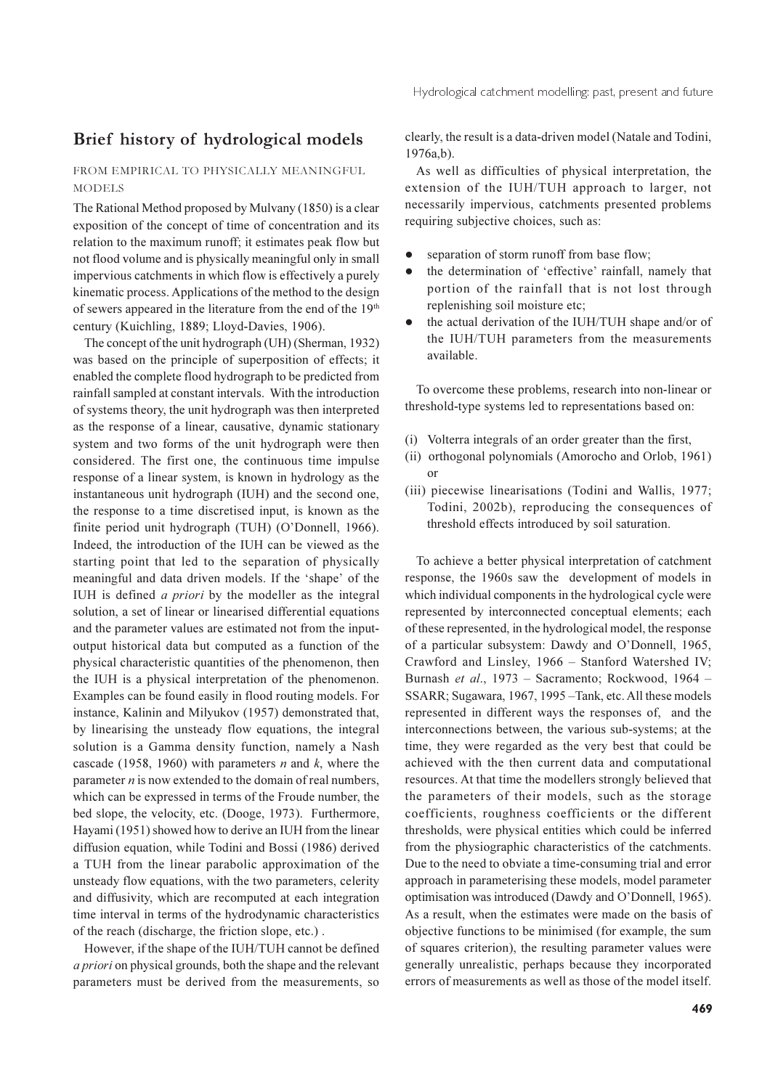## Brief history of hydrological models

### FROM EMPIRICAL TO PHYSICALLY MEANINGFUL **MODELS**

The Rational Method proposed by Mulvany (1850) is a clear exposition of the concept of time of concentration and its relation to the maximum runoff; it estimates peak flow but not flood volume and is physically meaningful only in small impervious catchments in which flow is effectively a purely kinematic process. Applications of the method to the design of sewers appeared in the literature from the end of the 19<sup>th</sup> century (Kuichling, 1889; Lloyd-Davies, 1906).

The concept of the unit hydrograph (UH) (Sherman, 1932) was based on the principle of superposition of effects; it enabled the complete flood hydrograph to be predicted from rainfall sampled at constant intervals. With the introduction of systems theory, the unit hydrograph was then interpreted as the response of a linear, causative, dynamic stationary system and two forms of the unit hydrograph were then considered. The first one, the continuous time impulse response of a linear system, is known in hydrology as the instantaneous unit hydrograph (IUH) and the second one, the response to a time discretised input, is known as the finite period unit hydrograph (TUH) (O'Donnell, 1966). Indeed, the introduction of the IUH can be viewed as the starting point that led to the separation of physically meaningful and data driven models. If the 'shape' of the IUH is defined *a priori* by the modeller as the integral solution, a set of linear or linearised differential equations and the parameter values are estimated not from the inputoutput historical data but computed as a function of the physical characteristic quantities of the phenomenon, then the IUH is a physical interpretation of the phenomenon. Examples can be found easily in flood routing models. For instance, Kalinin and Milyukov (1957) demonstrated that, by linearising the unsteady flow equations, the integral solution is a Gamma density function, namely a Nash cascade (1958, 1960) with parameters  $n$  and  $k$ , where the parameter  $n$  is now extended to the domain of real numbers, which can be expressed in terms of the Froude number, the bed slope, the velocity, etc. (Dooge, 1973). Furthermore, Hayami (1951) showed how to derive an IUH from the linear diffusion equation, while Todini and Bossi (1986) derived a TUH from the linear parabolic approximation of the unsteady flow equations, with the two parameters, celerity and diffusivity, which are recomputed at each integration time interval in terms of the hydrodynamic characteristics of the reach (discharge, the friction slope, etc.).

However, if the shape of the IUH/TUH cannot be defined *a priori* on physical grounds, both the shape and the relevant parameters must be derived from the measurements, so clearly, the result is a data-driven model (Natale and Todini,  $1976a,b)$ .

As well as difficulties of physical interpretation, the extension of the IUH/TUH approach to larger, not necessarily impervious, catchments presented problems requiring subjective choices, such as:

- separation of storm runoff from base flow;
- the determination of 'effective' rainfall, namely that  $\bullet$ portion of the rainfall that is not lost through replenishing soil moisture etc;
- the actual derivation of the IUH/TUH shape and/or of  $\bullet$ the IUH/TUH parameters from the measurements available.

To overcome these problems, research into non-linear or threshold-type systems led to representations based on:

- (i) Volterra integrals of an order greater than the first,
- (ii) orthogonal polynomials (Amorocho and Orlob, 1961)  $\alpha$ <sup>r</sup>
- (iii) piecewise linearisations (Todini and Wallis, 1977; Todini, 2002b), reproducing the consequences of threshold effects introduced by soil saturation.

To achieve a better physical interpretation of catchment response, the 1960s saw the development of models in which individual components in the hydrological cycle were represented by interconnected conceptual elements; each of these represented, in the hydrological model, the response of a particular subsystem: Dawdy and O'Donnell, 1965, Crawford and Linsley, 1966 - Stanford Watershed IV; Burnash et al., 1973 - Sacramento; Rockwood, 1964 -SSARR; Sugawara, 1967, 1995 - Tank, etc. All these models represented in different ways the responses of, and the interconnections between, the various sub-systems; at the time, they were regarded as the very best that could be achieved with the then current data and computational resources. At that time the modellers strongly believed that the parameters of their models, such as the storage coefficients, roughness coefficients or the different thresholds, were physical entities which could be inferred from the physiographic characteristics of the catchments. Due to the need to obviate a time-consuming trial and error approach in parameterising these models, model parameter optimisation was introduced (Dawdy and O'Donnell, 1965). As a result, when the estimates were made on the basis of objective functions to be minimised (for example, the sum of squares criterion), the resulting parameter values were generally unrealistic, perhaps because they incorporated errors of measurements as well as those of the model itself.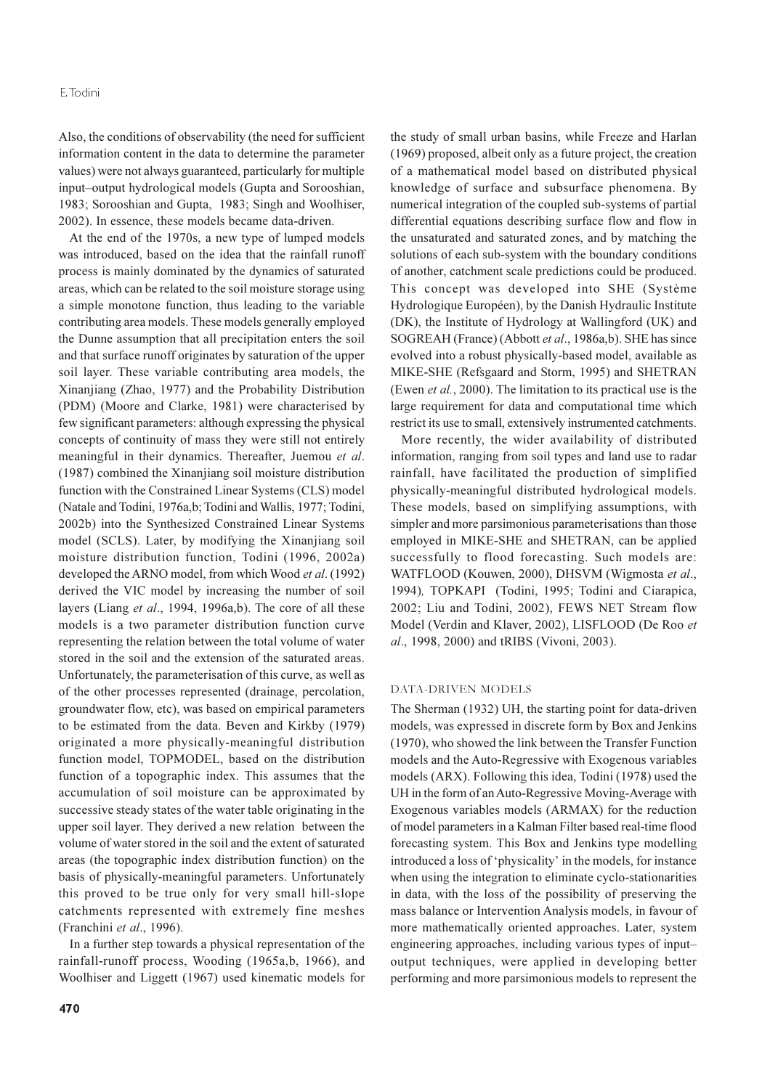### E.Todini

Also, the conditions of observability (the need for sufficient information content in the data to determine the parameter values) were not always guaranteed, particularly for multiple input-output hydrological models (Gupta and Sorooshian, 1983; Sorooshian and Gupta, 1983; Singh and Woolhiser, 2002). In essence, these models became data-driven.

At the end of the 1970s, a new type of lumped models was introduced, based on the idea that the rainfall runoff process is mainly dominated by the dynamics of saturated areas, which can be related to the soil moisture storage using a simple monotone function, thus leading to the variable contributing area models. These models generally employed the Dunne assumption that all precipitation enters the soil and that surface runoff originates by saturation of the upper soil layer. These variable contributing area models, the Xinanjiang (Zhao, 1977) and the Probability Distribution (PDM) (Moore and Clarke, 1981) were characterised by few significant parameters: although expressing the physical concepts of continuity of mass they were still not entirely meaningful in their dynamics. Thereafter, Juemou et al. (1987) combined the Xinanjiang soil moisture distribution function with the Constrained Linear Systems (CLS) model (Natale and Todini, 1976a,b; Todini and Wallis, 1977; Todini, 2002b) into the Synthesized Constrained Linear Systems model (SCLS). Later, by modifying the Xinanjiang soil moisture distribution function, Todini (1996, 2002a) developed the ARNO model, from which Wood et al. (1992) derived the VIC model by increasing the number of soil layers (Liang et al., 1994, 1996a,b). The core of all these models is a two parameter distribution function curve representing the relation between the total volume of water stored in the soil and the extension of the saturated areas. Unfortunately, the parameterisation of this curve, as well as of the other processes represented (drainage, percolation, groundwater flow, etc), was based on empirical parameters to be estimated from the data. Beven and Kirkby (1979) originated a more physically-meaningful distribution function model, TOPMODEL, based on the distribution function of a topographic index. This assumes that the accumulation of soil moisture can be approximated by successive steady states of the water table originating in the upper soil layer. They derived a new relation between the volume of water stored in the soil and the extent of saturated areas (the topographic index distribution function) on the basis of physically-meaningful parameters. Unfortunately this proved to be true only for very small hill-slope catchments represented with extremely fine meshes (Franchini et al., 1996).

In a further step towards a physical representation of the rainfall-runoff process, Wooding (1965a,b, 1966), and Woolhiser and Liggett (1967) used kinematic models for the study of small urban basins, while Freeze and Harlan (1969) proposed, albeit only as a future project, the creation of a mathematical model based on distributed physical knowledge of surface and subsurface phenomena. By numerical integration of the coupled sub-systems of partial differential equations describing surface flow and flow in the unsaturated and saturated zones, and by matching the solutions of each sub-system with the boundary conditions of another, catchment scale predictions could be produced. This concept was developed into SHE (Système Hydrologique Européen), by the Danish Hydraulic Institute (DK), the Institute of Hydrology at Wallingford (UK) and SOGREAH (France) (Abbott et al., 1986a,b). SHE has since evolved into a robust physically-based model, available as MIKE-SHE (Refsgaard and Storm, 1995) and SHETRAN (Ewen et al., 2000). The limitation to its practical use is the large requirement for data and computational time which restrict its use to small, extensively instrumented catchments.

More recently, the wider availability of distributed information, ranging from soil types and land use to radar rainfall, have facilitated the production of simplified physically-meaningful distributed hydrological models. These models, based on simplifying assumptions, with simpler and more parsimonious parameterisations than those employed in MIKE-SHE and SHETRAN, can be applied successfully to flood forecasting. Such models are: WATFLOOD (Kouwen, 2000), DHSVM (Wigmosta et al., 1994), TOPKAPI (Todini, 1995; Todini and Ciarapica, 2002; Liu and Todini, 2002), FEWS NET Stream flow Model (Verdin and Klaver, 2002), LISFLOOD (De Roo et al., 1998, 2000) and tRIBS (Vivoni, 2003).

#### DATA-DRIVEN MODELS

The Sherman (1932) UH, the starting point for data-driven models, was expressed in discrete form by Box and Jenkins (1970), who showed the link between the Transfer Function models and the Auto-Regressive with Exogenous variables models (ARX). Following this idea, Todini (1978) used the UH in the form of an Auto-Regressive Moving-Average with Exogenous variables models (ARMAX) for the reduction of model parameters in a Kalman Filter based real-time flood forecasting system. This Box and Jenkins type modelling introduced a loss of 'physicality' in the models, for instance when using the integration to eliminate cyclo-stationarities in data, with the loss of the possibility of preserving the mass balance or Intervention Analysis models, in favour of more mathematically oriented approaches. Later, system engineering approaches, including various types of inputoutput techniques, were applied in developing better performing and more parsimonious models to represent the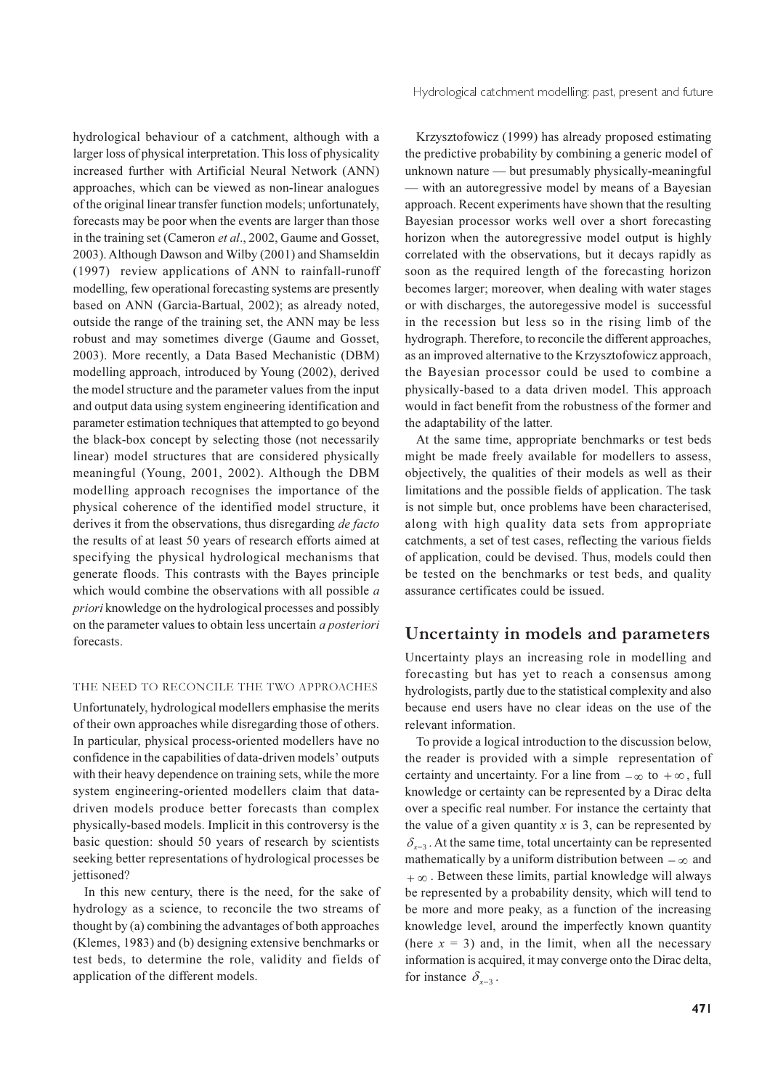Hydrological catchment modelling: past, present and future

hydrological behaviour of a catchment, although with a larger loss of physical interpretation. This loss of physicality increased further with Artificial Neural Network (ANN) approaches, which can be viewed as non-linear analogues of the original linear transfer function models; unfortunately, forecasts may be poor when the events are larger than those in the training set (Cameron et al., 2002, Gaume and Gosset, 2003). Although Dawson and Wilby (2001) and Shamseldin (1997) review applications of ANN to rainfall-runoff modelling, few operational forecasting systems are presently based on ANN (Garcia-Bartual, 2002); as already noted, outside the range of the training set, the ANN may be less robust and may sometimes diverge (Gaume and Gosset, 2003). More recently, a Data Based Mechanistic (DBM) modelling approach, introduced by Young (2002), derived the model structure and the parameter values from the input and output data using system engineering identification and parameter estimation techniques that attempted to go beyond the black-box concept by selecting those (not necessarily linear) model structures that are considered physically meaningful (Young, 2001, 2002). Although the DBM modelling approach recognises the importance of the physical coherence of the identified model structure, it derives it from the observations, thus disregarding de facto the results of at least 50 years of research efforts aimed at specifying the physical hydrological mechanisms that generate floods. This contrasts with the Bayes principle which would combine the observations with all possible a *priori* knowledge on the hydrological processes and possibly on the parameter values to obtain less uncertain a posteriori forecasts.

## THE NEED TO RECONCILE THE TWO APPROACHES

Unfortunately, hydrological modellers emphasise the merits of their own approaches while disregarding those of others. In particular, physical process-oriented modellers have no confidence in the capabilities of data-driven models' outputs with their heavy dependence on training sets, while the more system engineering-oriented modellers claim that datadriven models produce better forecasts than complex physically-based models. Implicit in this controversy is the basic question: should 50 years of research by scientists seeking better representations of hydrological processes be jettisoned?

In this new century, there is the need, for the sake of hydrology as a science, to reconcile the two streams of thought by (a) combining the advantages of both approaches (Klemes, 1983) and (b) designing extensive benchmarks or test beds, to determine the role, validity and fields of application of the different models.

Krzysztofowicz (1999) has already proposed estimating the predictive probability by combining a generic model of unknown nature — but presumably physically-meaningful - with an autoregressive model by means of a Bayesian approach. Recent experiments have shown that the resulting Bavesian processor works well over a short forecasting horizon when the autoregressive model output is highly correlated with the observations, but it decays rapidly as soon as the required length of the forecasting horizon becomes larger; moreover, when dealing with water stages or with discharges, the autoregessive model is successful in the recession but less so in the rising limb of the hydrograph. Therefore, to reconcile the different approaches, as an improved alternative to the Krzysztofowicz approach, the Bayesian processor could be used to combine a physically-based to a data driven model. This approach would in fact benefit from the robustness of the former and the adaptability of the latter.

At the same time, appropriate benchmarks or test beds might be made freely available for modellers to assess, objectively, the qualities of their models as well as their limitations and the possible fields of application. The task is not simple but, once problems have been characterised, along with high quality data sets from appropriate catchments, a set of test cases, reflecting the various fields of application, could be devised. Thus, models could then be tested on the benchmarks or test beds, and quality assurance certificates could be issued.

## Uncertainty in models and parameters

Uncertainty plays an increasing role in modelling and forecasting but has yet to reach a consensus among hydrologists, partly due to the statistical complexity and also because end users have no clear ideas on the use of the relevant information.

To provide a logical introduction to the discussion below, the reader is provided with a simple representation of certainty and uncertainty. For a line from  $-\infty$  to  $+\infty$ , full knowledge or certainty can be represented by a Dirac delta over a specific real number. For instance the certainty that the value of a given quantity  $x$  is 3, can be represented by  $\delta_{r-3}$ . At the same time, total uncertainty can be represented mathematically by a uniform distribution between  $-\infty$  and  $+\infty$ . Between these limits, partial knowledge will always be represented by a probability density, which will tend to be more and more peaky, as a function of the increasing knowledge level, around the imperfectly known quantity (here  $x = 3$ ) and, in the limit, when all the necessary information is acquired, it may converge onto the Dirac delta, for instance  $\delta_{r-3}$ .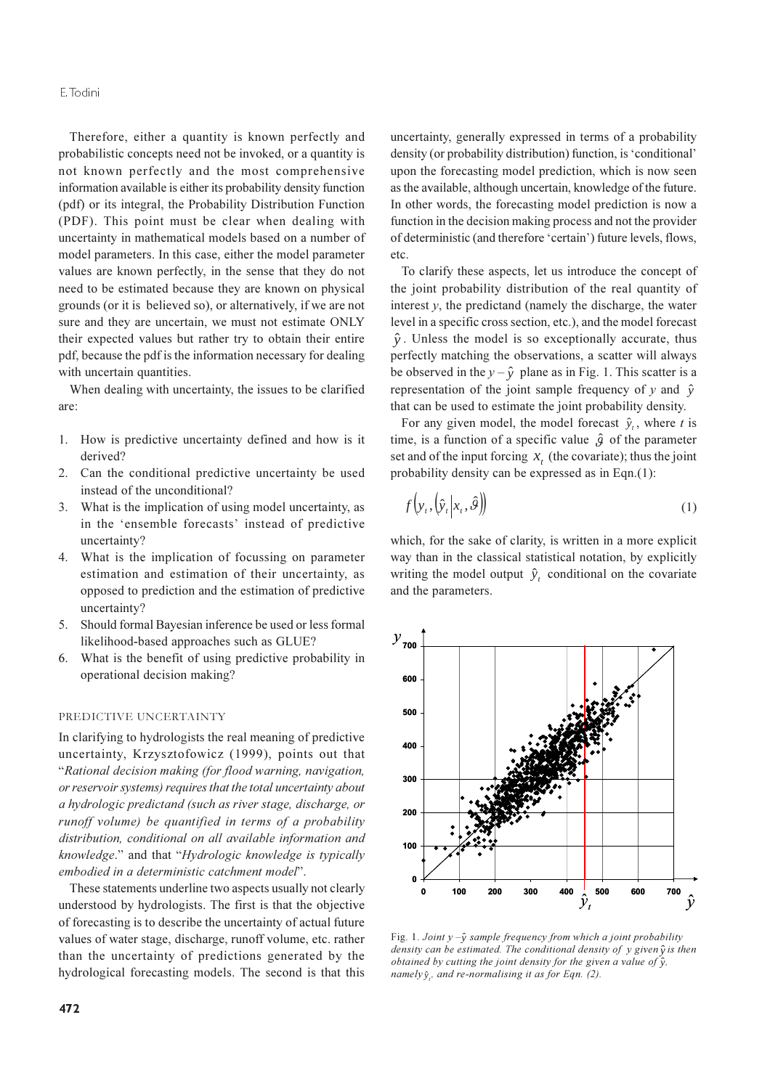### E.Todini

Therefore, either a quantity is known perfectly and probabilistic concepts need not be invoked, or a quantity is not known perfectly and the most comprehensive information available is either its probability density function (pdf) or its integral, the Probability Distribution Function (PDF). This point must be clear when dealing with uncertainty in mathematical models based on a number of model parameters. In this case, either the model parameter values are known perfectly, in the sense that they do not need to be estimated because they are known on physical grounds (or it is believed so), or alternatively, if we are not sure and they are uncertain, we must not estimate ONLY their expected values but rather try to obtain their entire pdf, because the pdf is the information necessary for dealing with uncertain quantities.

When dealing with uncertainty, the issues to be clarified are<sup>.</sup>

- 1. How is predictive uncertainty defined and how is it derived?
- 2. Can the conditional predictive uncertainty be used instead of the unconditional?
- What is the implication of using model uncertainty, as  $3.$ in the 'ensemble forecasts' instead of predictive uncertainty?
- 4. What is the implication of focussing on parameter estimation and estimation of their uncertainty, as opposed to prediction and the estimation of predictive uncertainty?
- Should formal Bayesian inference be used or less formal  $5<sub>1</sub>$ likelihood-based approaches such as GLUE?
- What is the benefit of using predictive probability in 6. operational decision making?

### PREDICTIVE UNCERTAINTY

In clarifying to hydrologists the real meaning of predictive uncertainty, Krzysztofowicz (1999), points out that "Rational decision making (for flood warning, navigation, or reservoir systems) requires that the total uncertainty about a hydrologic predictand (such as river stage, discharge, or runoff volume) be quantified in terms of a probability distribution, conditional on all available information and knowledge." and that "Hydrologic knowledge is typically embodied in a deterministic catchment model".

These statements underline two aspects usually not clearly understood by hydrologists. The first is that the objective of forecasting is to describe the uncertainty of actual future values of water stage, discharge, runoff volume, etc. rather than the uncertainty of predictions generated by the hydrological forecasting models. The second is that this

uncertainty, generally expressed in terms of a probability density (or probability distribution) function, is 'conditional' upon the forecasting model prediction, which is now seen as the available, although uncertain, knowledge of the future. In other words, the forecasting model prediction is now a function in the decision making process and not the provider of deterministic (and therefore 'certain') future levels, flows, etc.

To clarify these aspects, let us introduce the concept of the joint probability distribution of the real quantity of interest  $v$ , the predictand (namely the discharge, the water level in a specific cross section, etc.), and the model forecast  $\hat{v}$ . Unless the model is so exceptionally accurate, thus perfectly matching the observations, a scatter will always be observed in the  $y - \hat{y}$  plane as in Fig. 1. This scatter is a representation of the joint sample frequency of y and  $\hat{y}$ that can be used to estimate the joint probability density.

For any given model, the model forecast  $\hat{y}_t$ , where t is time, is a function of a specific value  $\hat{g}$  of the parameter set and of the input forcing  $x_t$ , (the covariate); thus the joint probability density can be expressed as in Eqn.(1):

$$
f\left(\mathbf{y}_t, \left(\hat{\mathbf{y}}_t \middle| \mathbf{x}_t, \hat{\boldsymbol{\theta}}\right)\right) \tag{1}
$$

which, for the sake of clarity, is written in a more explicit way than in the classical statistical notation, by explicitly writing the model output  $\hat{y}_t$  conditional on the covariate and the parameters.



Fig. 1. Joint  $y - \hat{y}$  sample frequency from which a joint probability density can be estimated. The conditional density of y given  $\hat{y}$  is then obtained by cutting the joint density for the given a value of  $\hat{y}$ , namely  $\hat{y}$ , and re-normalising it as for Eqn. (2).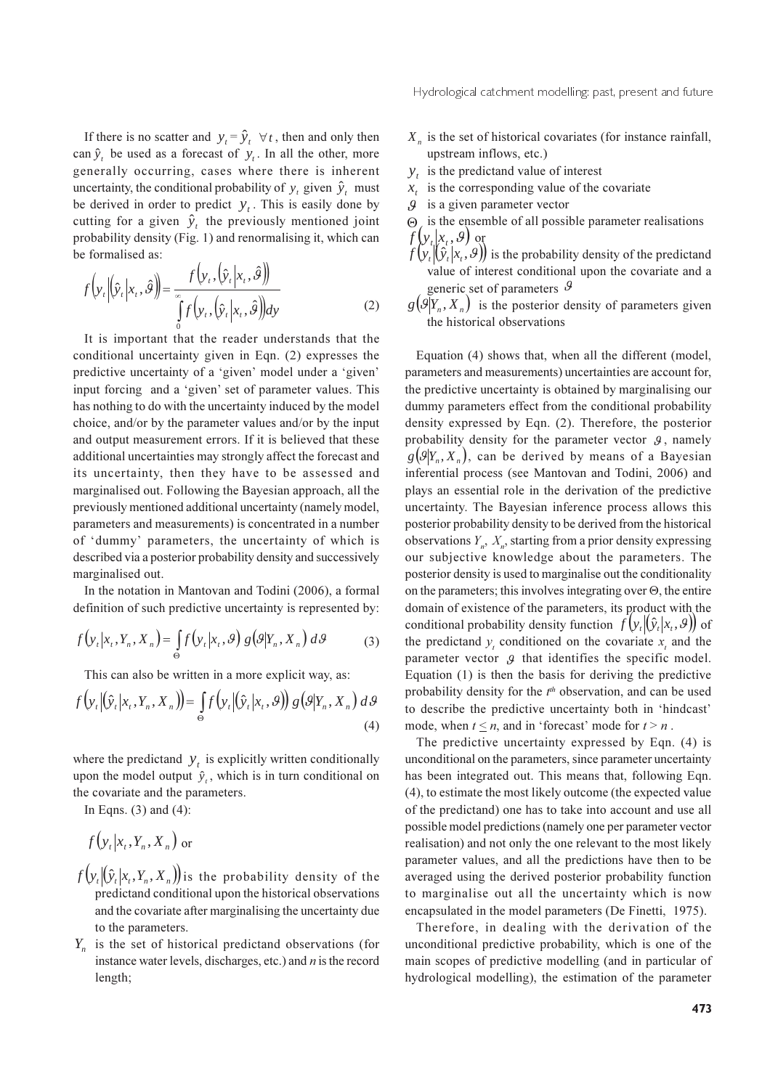If there is no scatter and  $y_t = \hat{y}_t \quad \forall t$ , then and only then can  $\hat{y}_t$  be used as a forecast of  $y_t$ . In all the other, more generally occurring, cases where there is inherent uncertainty, the conditional probability of y, given  $\hat{y}_t$  must be derived in order to predict  $y_t$ . This is easily done by cutting for a given  $\hat{y}_t$ , the previously mentioned joint probability density (Fig. 1) and renormalising it, which can be formalised as:  $\mathbf{v}$ 

$$
f\left(\mathbf{y}_t \middle| \hat{\mathbf{y}}_t \middle| \mathbf{x}_t, \hat{\boldsymbol{\beta}} \right) = \frac{f\left(\mathbf{y}_t, \left(\hat{\mathbf{y}}_t \middle| \mathbf{x}_t, \hat{\boldsymbol{\beta}}\right)\right)}{\int_{0}^{\infty} f\left(\mathbf{y}_t, \left(\hat{\mathbf{y}}_t \middle| \mathbf{x}_t, \hat{\boldsymbol{\beta}}\right)\right) d\mathbf{y}}
$$
(2)

It is important that the reader understands that the conditional uncertainty given in Eqn. (2) expresses the predictive uncertainty of a 'given' model under a 'given' input forcing and a 'given' set of parameter values. This has nothing to do with the uncertainty induced by the model choice, and/or by the parameter values and/or by the input and output measurement errors. If it is believed that these additional uncertainties may strongly affect the forecast and its uncertainty, then they have to be assessed and marginalised out. Following the Bayesian approach, all the previously mentioned additional uncertainty (namely model, parameters and measurements) is concentrated in a number of 'dummy' parameters, the uncertainty of which is described via a posterior probability density and successively marginalised out.

In the notation in Mantovan and Todini (2006), a formal definition of such predictive uncertainty is represented by:

$$
f\left(\mathbf{y}_t|\mathbf{x}_t,\mathbf{Y}_n,\mathbf{X}_n\right) = \int_{\Theta} f\left(\mathbf{y}_t|\mathbf{x}_t,\mathcal{G}\right) g\left(\mathcal{G}|\mathbf{Y}_n,\mathbf{X}_n\right) d\mathcal{G} \tag{3}
$$

This can also be written in a more explicit way, as:

$$
f\left(\mathbf{y}_t \middle| \left(\hat{\mathbf{y}}_t \middle| \mathbf{x}_t, \mathbf{Y}_n, \mathbf{X}_n\right)\right) = \int_{\Theta} f\left(\mathbf{y}_t \middle| \left(\hat{\mathbf{y}}_t \middle| \mathbf{x}_t, \Theta\right)\right) g\left(\Theta | \mathbf{Y}_n, \mathbf{X}_n\right) d\Theta\tag{4}
$$

where the predictand  $y_t$  is explicitly written conditionally upon the model output  $\hat{y}_t$ , which is in turn conditional on the covariate and the parameters.

In Eqns.  $(3)$  and  $(4)$ :

$$
f(y_t|x_t, Y_n, X_n)
$$
 or

- $f(y_t|\hat{y}_t|x_t, Y_n, X_n)$  is the probability density of the predictand conditional upon the historical observations and the covariate after marginalising the uncertainty due to the parameters.
- $Y_{n}$  is the set of historical predictand observations (for instance water levels, discharges, etc.) and  $n$  is the record length;
- $X<sub>n</sub>$  is the set of historical covariates (for instance rainfall, upstream inflows, etc.)
- $y_t$  is the predictand value of interest
- $\mathcal{X}_{i}$ is the corresponding value of the covariate
- $\overline{g}$ is a given parameter vector
- $\Theta$  is the ensemble of all possible parameter realisations  $f(y_t|x_t, \theta)$  or<br> $f(y_t|\hat{y}_t|x_t, \theta)$  is the probability density of the predictand
- value of interest conditional upon the covariate and a generic set of parameters  $\vartheta$
- $g(\mathcal{G}|Y_n, X_n)$  is the posterior density of parameters given the historical observations

Equation (4) shows that, when all the different (model, parameters and measurements) uncertainties are account for, the predictive uncertainty is obtained by marginalising our dummy parameters effect from the conditional probability density expressed by Eqn. (2). Therefore, the posterior probability density for the parameter vector  $\mathcal{G}$ , namely  $g(\mathcal{G}|Y_n, X_n)$ , can be derived by means of a Bayesian inferential process (see Mantovan and Todini, 2006) and plays an essential role in the derivation of the predictive uncertainty. The Bayesian inference process allows this posterior probability density to be derived from the historical observations  $Y_{n}$ ,  $X_{n}$ , starting from a prior density expressing our subjective knowledge about the parameters. The posterior density is used to marginalise out the conditionality on the parameters; this involves integrating over  $\Theta$ , the entire domain of existence of the parameters, its product with the conditional probability density function  $f(y_t|\hat{y}_t|x_t, \theta)$  of the predictand  $y$ , conditioned on the covariate  $x$ , and the parameter vector  $\beta$  that identifies the specific model. Equation  $(1)$  is then the basis for deriving the predictive probability density for the  $t^{th}$  observation, and can be used to describe the predictive uncertainty both in 'hindcast' mode, when  $t \le n$ , and in 'forecast' mode for  $t \ge n$ .

The predictive uncertainty expressed by Eqn. (4) is unconditional on the parameters, since parameter uncertainty has been integrated out. This means that, following Eqn. (4), to estimate the most likely outcome (the expected value of the predictand) one has to take into account and use all possible model predictions (namely one per parameter vector realisation) and not only the one relevant to the most likely parameter values, and all the predictions have then to be averaged using the derived posterior probability function to marginalise out all the uncertainty which is now encapsulated in the model parameters (De Finetti, 1975).

Therefore, in dealing with the derivation of the unconditional predictive probability, which is one of the main scopes of predictive modelling (and in particular of hydrological modelling), the estimation of the parameter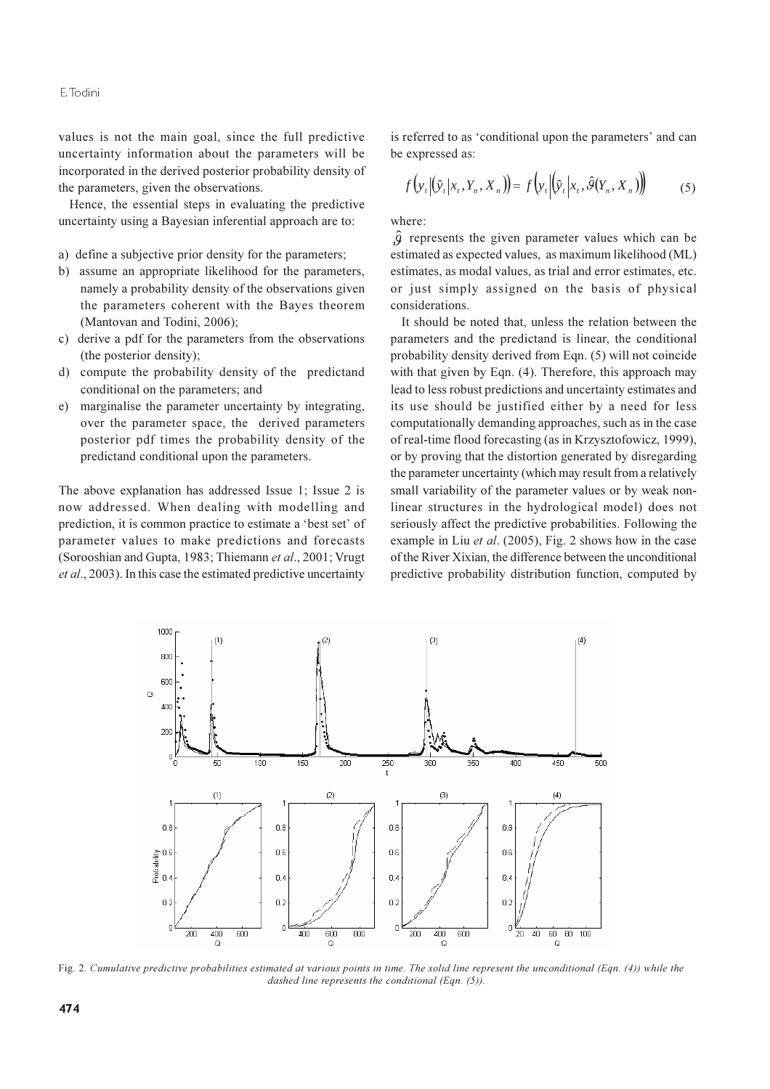values is not the main goal, since the full predictive uncertainty information about the parameters will be incorporated in the derived posterior probability density of the parameters, given the observations.

Hence, the essential steps in evaluating the predictive uncertainty using a Bayesian inferential approach are to:

- a) define a subjective prior density for the parameters;
- b) assume an appropriate likelihood for the parameters, namely a probability density of the observations given the parameters coherent with the Bayes theorem (Mantovan and Todini, 2006);
- c) derive a pdf for the parameters from the observations (the posterior density);
- d) compute the probability density of the predictand conditional on the parameters; and
- $\epsilon$ marginalise the parameter uncertainty by integrating. over the parameter space, the derived parameters posterior pdf times the probability density of the predictand conditional upon the parameters.

The above explanation has addressed Issue 1; Issue 2 is now addressed. When dealing with modelling and prediction, it is common practice to estimate a 'best set' of parameter values to make predictions and forecasts (Sorooshian and Gupta, 1983; Thiemann et al., 2001; Vrugt et al., 2003). In this case the estimated predictive uncertainty

is referred to as 'conditional upon the parameters' and can be expressed as:

$$
f\left(\mathbf{y}_t \middle| \left(\hat{\mathbf{y}}_t \middle| \mathbf{x}_t, \mathbf{Y}_n, \mathbf{X}_n\right)\right) = f\left(\mathbf{y}_t \middle| \left(\hat{\mathbf{y}}_t \middle| \mathbf{x}_t, \hat{\boldsymbol{\theta}}(\mathbf{Y}_n, \mathbf{X}_n)\right)\right) \tag{5}
$$

where:

 $\hat{q}$  represents the given parameter values which can be estimated as expected values, as maximum likelihood (ML) estimates, as modal values, as trial and error estimates, etc. or just simply assigned on the basis of physical considerations.

It should be noted that, unless the relation between the parameters and the predictand is linear, the conditional probability density derived from Eqn. (5) will not coincide with that given by Eqn. (4). Therefore, this approach may lead to less robust predictions and uncertainty estimates and its use should be justified either by a need for less computationally demanding approaches, such as in the case of real-time flood forecasting (as in Krzysztofowicz, 1999), or by proving that the distortion generated by disregarding the parameter uncertainty (which may result from a relatively small variability of the parameter values or by weak nonlinear structures in the hydrological model) does not seriously affect the predictive probabilities. Following the example in Liu *et al.* (2005), Fig. 2 shows how in the case of the River Xixian, the difference between the unconditional predictive probability distribution function, computed by



Fig. 2. Cumulative predictive probabilities estimated at various points in time. The solid line represent the unconditional (Eqn.  $(4)$ ) while the dashed line represents the conditional (Ean. (5)).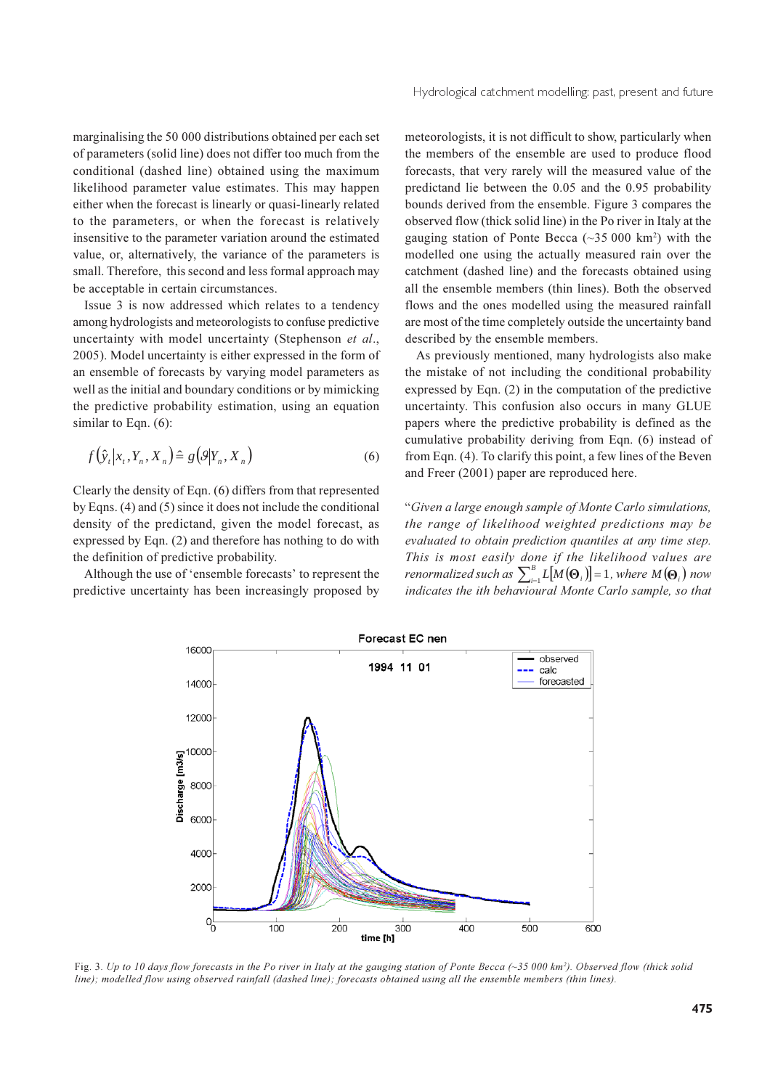marginalising the 50 000 distributions obtained per each set of parameters (solid line) does not differ too much from the conditional (dashed line) obtained using the maximum likelihood parameter value estimates. This may happen either when the forecast is linearly or quasi-linearly related to the parameters, or when the forecast is relatively insensitive to the parameter variation around the estimated value, or, alternatively, the variance of the parameters is small. Therefore, this second and less formal approach may be acceptable in certain circumstances.

Issue 3 is now addressed which relates to a tendency among hydrologists and meteorologists to confuse predictive uncertainty with model uncertainty (Stephenson et al., 2005). Model uncertainty is either expressed in the form of an ensemble of forecasts by varying model parameters as well as the initial and boundary conditions or by mimicking the predictive probability estimation, using an equation similar to Eqn.  $(6)$ :

$$
f(\hat{y}_t | x_t, Y_n, X_n) \triangleq g(\mathcal{G} | Y_n, X_n)
$$
\n<sup>(6)</sup>

Clearly the density of Eqn. (6) differs from that represented by Eqns. (4) and (5) since it does not include the conditional density of the predictand, given the model forecast, as expressed by Eqn. (2) and therefore has nothing to do with the definition of predictive probability.

Although the use of 'ensemble forecasts' to represent the predictive uncertainty has been increasingly proposed by meteorologists, it is not difficult to show, particularly when the members of the ensemble are used to produce flood forecasts, that very rarely will the measured value of the predictand lie between the 0.05 and the 0.95 probability bounds derived from the ensemble. Figure 3 compares the observed flow (thick solid line) in the Po river in Italy at the gauging station of Ponte Becca  $(\sim 35 000 \text{ km}^2)$  with the modelled one using the actually measured rain over the catchment (dashed line) and the forecasts obtained using all the ensemble members (thin lines). Both the observed flows and the ones modelled using the measured rainfall are most of the time completely outside the uncertainty band described by the ensemble members.

As previously mentioned, many hydrologists also make the mistake of not including the conditional probability expressed by Eqn.  $(2)$  in the computation of the predictive uncertainty. This confusion also occurs in many GLUE papers where the predictive probability is defined as the cumulative probability deriving from Eqn. (6) instead of from Eqn. (4). To clarify this point, a few lines of the Beven and Freer (2001) paper are reproduced here.

"Given a large enough sample of Monte Carlo simulations, the range of likelihood weighted predictions may be evaluated to obtain prediction quantiles at any time step. This is most easily done if the likelihood values are renormalized such as  $\sum_{i=1}^{B} L[M(\Theta_i)] = 1$ , where  $M(\Theta_i)$  now indicates the ith behavioural Monte Carlo sample, so that



Fig. 3. Up to 10 days flow forecasts in the Po river in Italy at the gauging station of Ponte Becca  $(\sim$ 35 000 km<sup>2</sup>). Observed flow (thick solid line); modelled flow using observed rainfall (dashed line); forecasts obtained using all the ensemble members (thin lines).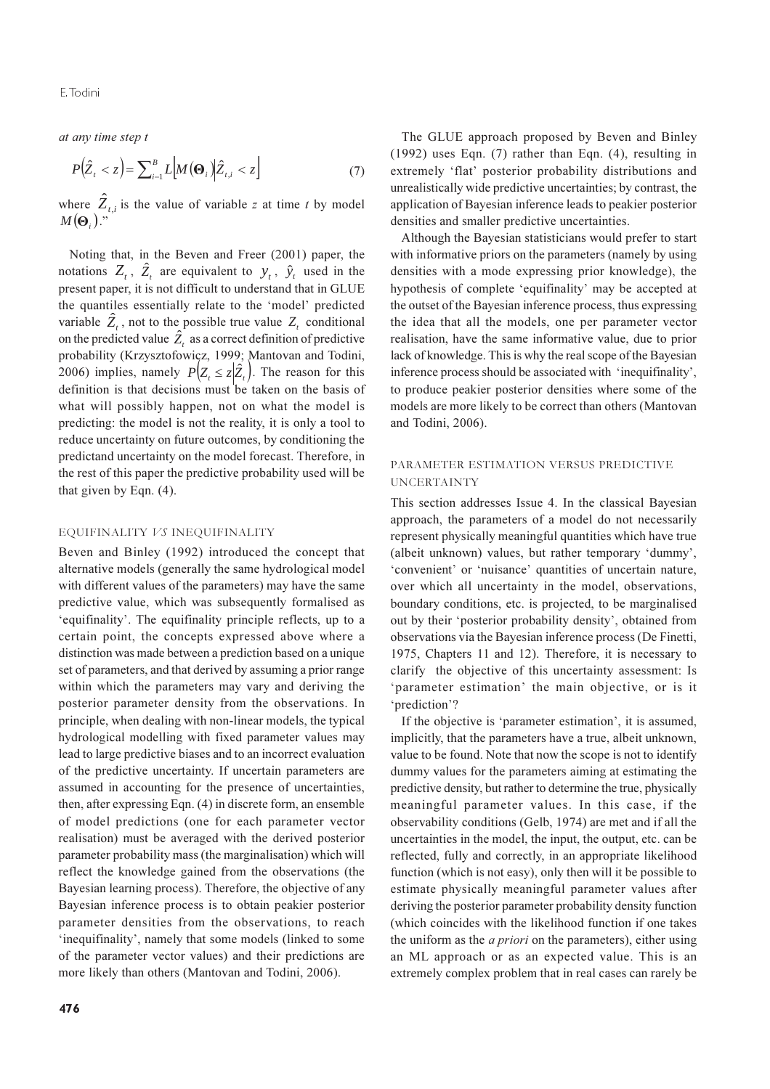at any time step t

$$
P(\hat{Z}_t < z) = \sum_{i=1}^B L \Big| M(\mathbf{\Theta}_i) \Big| \hat{Z}_{t,i} < z \Big] \tag{7}
$$

where  $\hat{Z}_{t,i}$  is the value of variable z at time t by model  $M(\Theta_1)$ .

Noting that, in the Beven and Freer (2001) paper, the notations  $Z_t$ ,  $\hat{Z}_t$  are equivalent to  $y_t$ ,  $\hat{y}_t$  used in the present paper, it is not difficult to understand that in GLUE the quantiles essentially relate to the 'model' predicted variable  $\hat{Z}_t$ , not to the possible true value  $Z_t$  conditional on the predicted value  $\hat{Z}_t$  as a correct definition of predictive probability (Krzysztofowicz, 1999; Mantovan and Todini, 2006) implies, namely  $P(Z_t \leq z | \hat{Z}_t)$ . The reason for this definition is that decisions must be taken on the basis of what will possibly happen, not on what the model is predicting: the model is not the reality, it is only a tool to reduce uncertainty on future outcomes, by conditioning the predictand uncertainty on the model forecast. Therefore, in the rest of this paper the predictive probability used will be that given by Eqn.  $(4)$ .

#### EQUIFINALITY VS INEQUIFINALITY

Beven and Binley (1992) introduced the concept that alternative models (generally the same hydrological model with different values of the parameters) may have the same predictive value, which was subsequently formalised as 'equifinality'. The equifinality principle reflects, up to a certain point, the concepts expressed above where a distinction was made between a prediction based on a unique set of parameters, and that derived by assuming a prior range within which the parameters may vary and deriving the posterior parameter density from the observations. In principle, when dealing with non-linear models, the typical hydrological modelling with fixed parameter values may lead to large predictive biases and to an incorrect evaluation of the predictive uncertainty. If uncertain parameters are assumed in accounting for the presence of uncertainties, then, after expressing Eqn. (4) in discrete form, an ensemble of model predictions (one for each parameter vector realisation) must be averaged with the derived posterior parameter probability mass (the marginalisation) which will reflect the knowledge gained from the observations (the Bayesian learning process). Therefore, the objective of any Bayesian inference process is to obtain peakier posterior parameter densities from the observations, to reach 'inequifinality', namely that some models (linked to some of the parameter vector values) and their predictions are more likely than others (Mantovan and Todini, 2006).

The GLUE approach proposed by Beven and Binley  $(1992)$  uses Eqn.  $(7)$  rather than Eqn.  $(4)$ , resulting in extremely 'flat' posterior probability distributions and unrealistically wide predictive uncertainties; by contrast, the application of Bayesian inference leads to peakier posterior densities and smaller predictive uncertainties.

Although the Bayesian statisticians would prefer to start with informative priors on the parameters (namely by using densities with a mode expressing prior knowledge), the hypothesis of complete 'equifinality' may be accepted at the outset of the Bayesian inference process, thus expressing the idea that all the models, one per parameter vector realisation, have the same informative value, due to prior lack of knowledge. This is why the real scope of the Bayesian inference process should be associated with 'inequifinality', to produce peakier posterior densities where some of the models are more likely to be correct than others (Mantovan and Todini, 2006).

## PARAMETER ESTIMATION VERSUS PREDICTIVE **UNCERTAINTY**

This section addresses Issue 4. In the classical Bayesian approach, the parameters of a model do not necessarily represent physically meaningful quantities which have true (albeit unknown) values, but rather temporary 'dummy', 'convenient' or 'nuisance' quantities of uncertain nature, over which all uncertainty in the model, observations, boundary conditions, etc. is projected, to be marginalised out by their 'posterior probability density', obtained from observations via the Bayesian inference process (De Finetti, 1975, Chapters 11 and 12). Therefore, it is necessary to clarify the objective of this uncertainty assessment: Is 'parameter estimation' the main objective, or is it 'prediction'?

If the objective is 'parameter estimation', it is assumed, implicitly, that the parameters have a true, albeit unknown, value to be found. Note that now the scope is not to identify dummy values for the parameters aiming at estimating the predictive density, but rather to determine the true, physically meaningful parameter values. In this case, if the observability conditions (Gelb, 1974) are met and if all the uncertainties in the model, the input, the output, etc. can be reflected, fully and correctly, in an appropriate likelihood function (which is not easy), only then will it be possible to estimate physically meaningful parameter values after deriving the posterior parameter probability density function (which coincides with the likelihood function if one takes the uniform as the *a priori* on the parameters), either using an ML approach or as an expected value. This is an extremely complex problem that in real cases can rarely be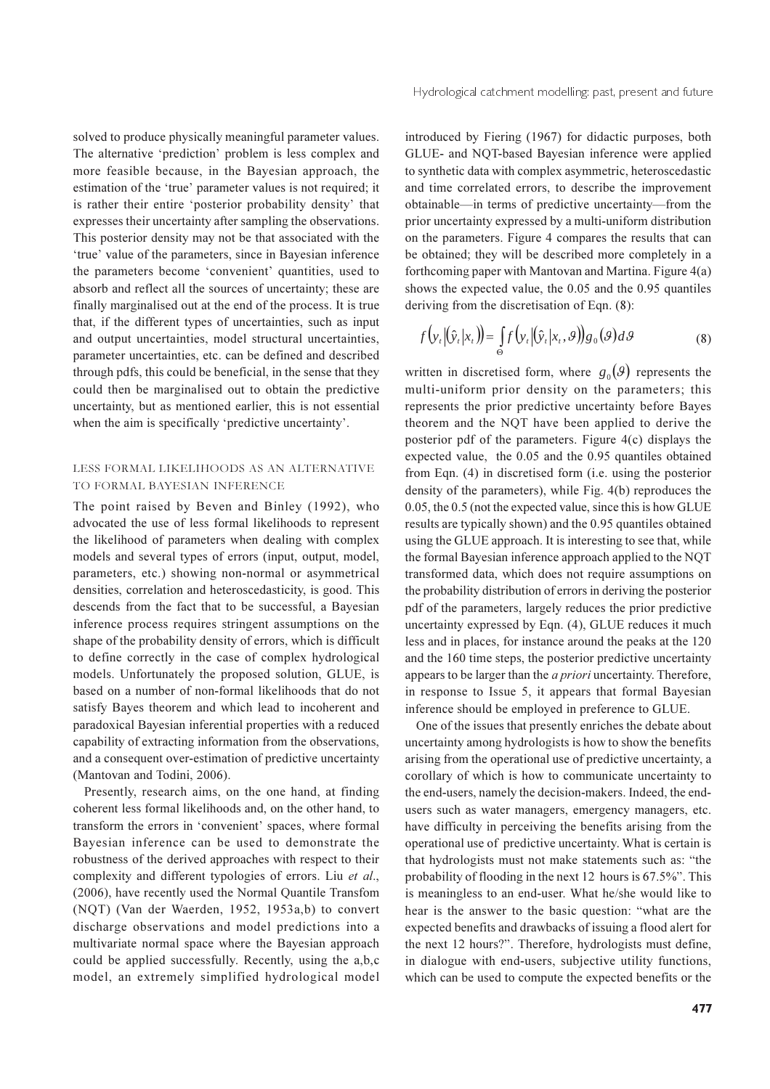solved to produce physically meaningful parameter values. The alternative 'prediction' problem is less complex and more feasible because, in the Bayesian approach, the estimation of the 'true' parameter values is not required; it is rather their entire 'posterior probability density' that expresses their uncertainty after sampling the observations. This posterior density may not be that associated with the 'true' value of the parameters, since in Bayesian inference the parameters become 'convenient' quantities, used to absorb and reflect all the sources of uncertainty; these are finally marginalised out at the end of the process. It is true that, if the different types of uncertainties, such as input and output uncertainties, model structural uncertainties, parameter uncertainties, etc. can be defined and described through pdfs, this could be beneficial, in the sense that they could then be marginalised out to obtain the predictive uncertainty, but as mentioned earlier, this is not essential when the aim is specifically 'predictive uncertainty'.

### LESS FORMAL LIKELIHOODS AS AN ALTERNATIVE TO FORMAL BAYESIAN INFERENCE

The point raised by Beven and Binley (1992), who advocated the use of less formal likelihoods to represent the likelihood of parameters when dealing with complex models and several types of errors (input, output, model, parameters, etc.) showing non-normal or asymmetrical densities, correlation and heteroscedasticity, is good. This descends from the fact that to be successful, a Bayesian inference process requires stringent assumptions on the shape of the probability density of errors, which is difficult to define correctly in the case of complex hydrological models. Unfortunately the proposed solution, GLUE, is based on a number of non-formal likelihoods that do not satisfy Bayes theorem and which lead to incoherent and paradoxical Bayesian inferential properties with a reduced capability of extracting information from the observations, and a consequent over-estimation of predictive uncertainty (Mantovan and Todini, 2006).

Presently, research aims, on the one hand, at finding coherent less formal likelihoods and, on the other hand, to transform the errors in 'convenient' spaces, where formal Bayesian inference can be used to demonstrate the robustness of the derived approaches with respect to their complexity and different typologies of errors. Liu et al., (2006), have recently used the Normal Quantile Transfom (NQT) (Van der Waerden, 1952, 1953a,b) to convert discharge observations and model predictions into a multivariate normal space where the Bayesian approach could be applied successfully. Recently, using the a,b,c model, an extremely simplified hydrological model

introduced by Fiering (1967) for didactic purposes, both GLUE- and NQT-based Bayesian inference were applied to synthetic data with complex asymmetric, heteroscedastic and time correlated errors, to describe the improvement obtainable—in terms of predictive uncertainty—from the prior uncertainty expressed by a multi-uniform distribution on the parameters. Figure 4 compares the results that can be obtained; they will be described more completely in a forthcoming paper with Mantovan and Martina. Figure 4(a) shows the expected value, the 0.05 and the 0.95 quantiles deriving from the discretisation of Eqn. (8):

$$
f\left(\mathbf{y}_t \middle| \hat{\mathbf{y}}_t \middle| \mathbf{x}_t\right) = \int_{\Theta} f\left(\mathbf{y}_t \middle| \hat{\mathbf{y}}_t \middle| \mathbf{x}_t, \Theta\right) \mathbf{g}_0(\Theta) d\Theta \tag{8}
$$

written in discretised form, where  $g_0(\theta)$  represents the multi-uniform prior density on the parameters; this represents the prior predictive uncertainty before Bayes theorem and the NQT have been applied to derive the posterior pdf of the parameters. Figure 4(c) displays the expected value, the 0.05 and the 0.95 quantiles obtained from Eqn. (4) in discretised form (i.e. using the posterior density of the parameters), while Fig. 4(b) reproduces the 0.05, the 0.5 (not the expected value, since this is how GLUE results are typically shown) and the 0.95 quantiles obtained using the GLUE approach. It is interesting to see that, while the formal Bayesian inference approach applied to the NQT transformed data, which does not require assumptions on the probability distribution of errors in deriving the posterior pdf of the parameters, largely reduces the prior predictive uncertainty expressed by Eqn. (4), GLUE reduces it much less and in places, for instance around the peaks at the 120 and the 160 time steps, the posterior predictive uncertainty appears to be larger than the *a priori* uncertainty. Therefore, in response to Issue 5, it appears that formal Bayesian inference should be employed in preference to GLUE.

One of the issues that presently enriches the debate about uncertainty among hydrologists is how to show the benefits arising from the operational use of predictive uncertainty, a corollary of which is how to communicate uncertainty to the end-users, namely the decision-makers. Indeed, the endusers such as water managers, emergency managers, etc. have difficulty in perceiving the benefits arising from the operational use of predictive uncertainty. What is certain is that hydrologists must not make statements such as: "the probability of flooding in the next 12 hours is 67.5%". This is meaningless to an end-user. What he/she would like to hear is the answer to the basic question: "what are the expected benefits and drawbacks of issuing a flood alert for the next 12 hours?". Therefore, hydrologists must define, in dialogue with end-users, subjective utility functions, which can be used to compute the expected benefits or the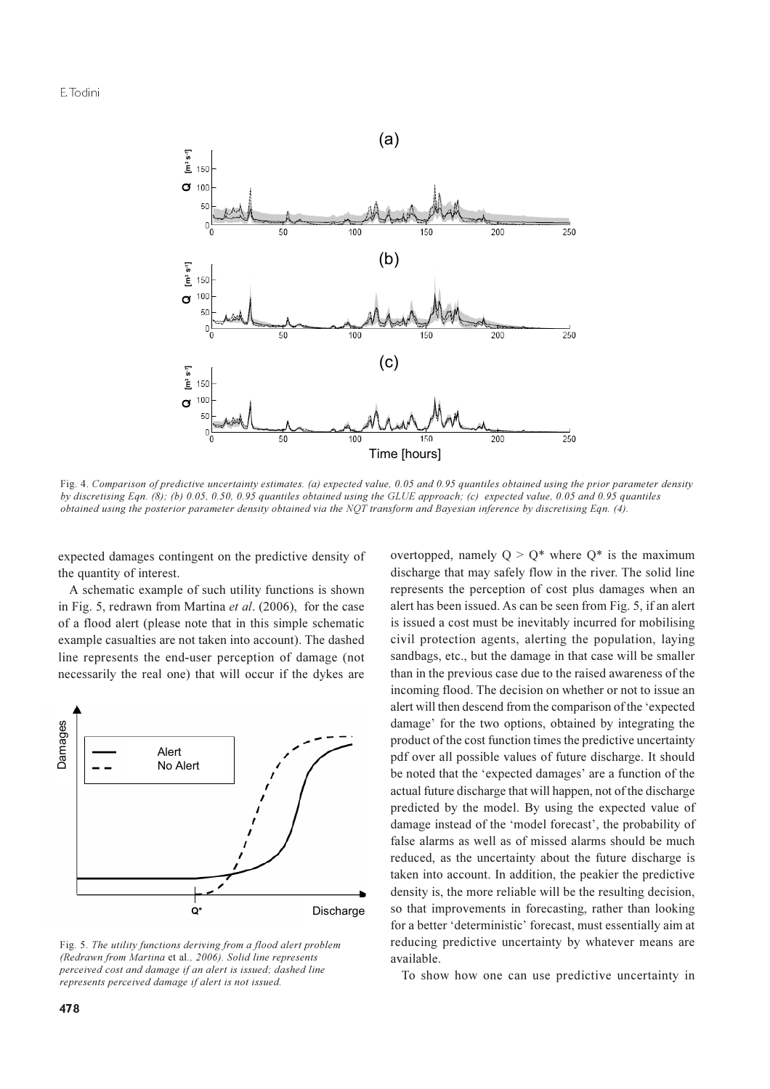

Fig. 4. Comparison of predictive uncertainty estimates. (a) expected value, 0.05 and 0.95 quantiles obtained using the prior parameter density by discretising Eqn. (8); (b) 0.05, 0.50, 0.95 quantiles obtained using the GLUE approach; (c) expected value, 0.05 and 0.95 quantiles obtained using the posterior parameter density obtained via the NQT transform and Bayesian inference by discretising Eqn. (4).

expected damages contingent on the predictive density of the quantity of interest.

A schematic example of such utility functions is shown in Fig. 5, redrawn from Martina et al. (2006), for the case of a flood alert (please note that in this simple schematic example casualties are not taken into account). The dashed line represents the end-user perception of damage (not necessarily the real one) that will occur if the dykes are



Fig. 5. The utility functions deriving from a flood alert problem (Redrawn from Martina et al., 2006). Solid line represents perceived cost and damage if an alert is issued; dashed line represents perceived damage if alert is not issued.

overtopped, namely  $Q > Q^*$  where  $Q^*$  is the maximum discharge that may safely flow in the river. The solid line represents the perception of cost plus damages when an alert has been issued. As can be seen from Fig. 5, if an alert is issued a cost must be inevitably incurred for mobilising civil protection agents, alerting the population, laying sandbags, etc., but the damage in that case will be smaller than in the previous case due to the raised awareness of the incoming flood. The decision on whether or not to issue an alert will then descend from the comparison of the 'expected damage' for the two options, obtained by integrating the product of the cost function times the predictive uncertainty pdf over all possible values of future discharge. It should be noted that the 'expected damages' are a function of the actual future discharge that will happen, not of the discharge predicted by the model. By using the expected value of damage instead of the 'model forecast', the probability of false alarms as well as of missed alarms should be much reduced, as the uncertainty about the future discharge is taken into account. In addition, the peakier the predictive density is, the more reliable will be the resulting decision, so that improvements in forecasting, rather than looking for a better 'deterministic' forecast, must essentially aim at reducing predictive uncertainty by whatever means are available.

To show how one can use predictive uncertainty in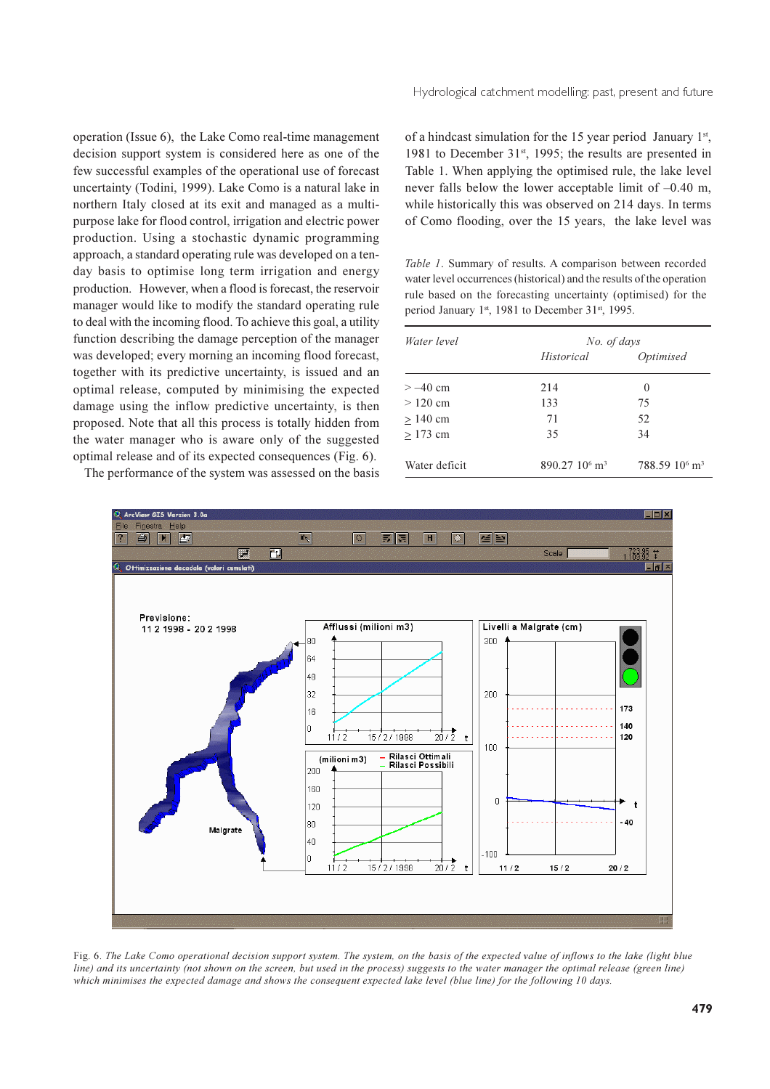operation (Issue 6), the Lake Como real-time management decision support system is considered here as one of the few successful examples of the operational use of forecast uncertainty (Todini, 1999). Lake Como is a natural lake in northern Italy closed at its exit and managed as a multipurpose lake for flood control, irrigation and electric power production. Using a stochastic dynamic programming approach, a standard operating rule was developed on a tenday basis to optimise long term irrigation and energy production. However, when a flood is forecast, the reservoir manager would like to modify the standard operating rule to deal with the incoming flood. To achieve this goal, a utility function describing the damage perception of the manager was developed; every morning an incoming flood forecast, together with its predictive uncertainty, is issued and an optimal release, computed by minimising the expected damage using the inflow predictive uncertainty, is then proposed. Note that all this process is totally hidden from the water manager who is aware only of the suggested optimal release and of its expected consequences (Fig. 6).

The performance of the system was assessed on the basis

Hydrological catchment modelling: past, present and future

of a hindcast simulation for the 15 year period January  $1<sup>st</sup>$ , 1981 to December 31<sup>st</sup>, 1995; the results are presented in Table 1. When applying the optimised rule, the lake level never falls below the lower acceptable limit of  $-0.40$  m, while historically this was observed on 214 days. In terms of Como flooding, over the 15 years, the lake level was

Table 1. Summary of results. A comparison between recorded water level occurrences (historical) and the results of the operation rule based on the forecasting uncertainty (optimised) for the period January 1st, 1981 to December 31st, 1995.

| Water level   | No. of days                 |                                       |
|---------------|-----------------------------|---------------------------------------|
|               | Historical                  | Optimised                             |
| $> -40$ cm    | 214                         | $\theta$                              |
| $> 120$ cm    | 133                         | 75                                    |
| $> 140$ cm    | 71                          | 52                                    |
| $>173$ cm     | 35                          | 34                                    |
| Water deficit | $890.2710^6$ m <sup>3</sup> | 788.59 10 <sup>6</sup> m <sup>3</sup> |



Fig. 6. The Lake Como operational decision support system. The system, on the basis of the expected value of inflows to the lake (light blue line) and its uncertainty (not shown on the screen, but used in the process) suggests to the water manager the optimal release (green line) which minimises the expected damage and shows the consequent expected lake level (blue line) for the following 10 days.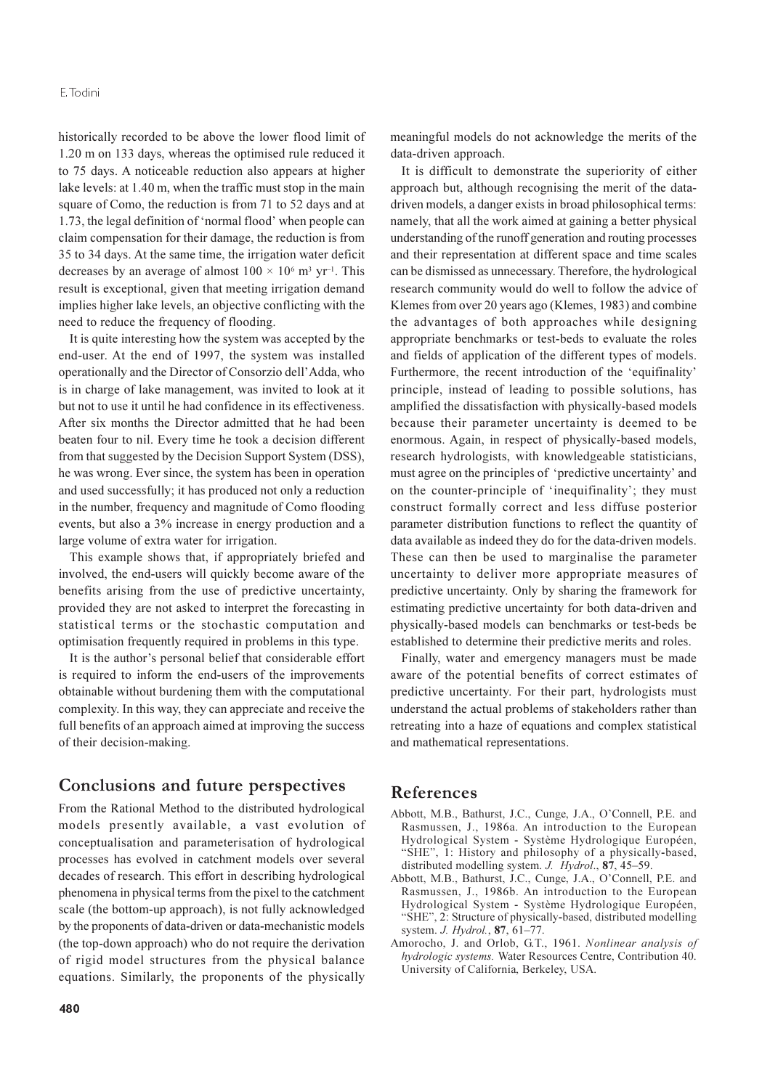historically recorded to be above the lower flood limit of 1.20 m on 133 days, whereas the optimised rule reduced it to 75 days. A noticeable reduction also appears at higher lake levels: at 1.40 m, when the traffic must stop in the main square of Como, the reduction is from 71 to 52 days and at 1.73, the legal definition of 'normal flood' when people can claim compensation for their damage, the reduction is from 35 to 34 days. At the same time, the irrigation water deficit decreases by an average of almost  $100 \times 10^6$  m<sup>3</sup> yr<sup>-1</sup>. This result is exceptional, given that meeting irrigation demand implies higher lake levels, an objective conflicting with the need to reduce the frequency of flooding.

It is quite interesting how the system was accepted by the end-user. At the end of 1997, the system was installed operationally and the Director of Consorzio dell'Adda, who is in charge of lake management, was invited to look at it but not to use it until he had confidence in its effectiveness. After six months the Director admitted that he had been beaten four to nil. Every time he took a decision different from that suggested by the Decision Support System (DSS), he was wrong. Ever since, the system has been in operation and used successfully; it has produced not only a reduction in the number, frequency and magnitude of Como flooding events, but also a 3% increase in energy production and a large volume of extra water for irrigation.

This example shows that, if appropriately briefed and involved, the end-users will quickly become aware of the benefits arising from the use of predictive uncertainty, provided they are not asked to interpret the forecasting in statistical terms or the stochastic computation and optimisation frequently required in problems in this type.

It is the author's personal belief that considerable effort is required to inform the end-users of the improvements obtainable without burdening them with the computational complexity. In this way, they can appreciate and receive the full benefits of an approach aimed at improving the success of their decision-making.

## Conclusions and future perspectives

From the Rational Method to the distributed hydrological models presently available, a vast evolution of conceptualisation and parameterisation of hydrological processes has evolved in catchment models over several decades of research. This effort in describing hydrological phenomena in physical terms from the pixel to the catchment scale (the bottom-up approach), is not fully acknowledged by the proponents of data-driven or data-mechanistic models (the top-down approach) who do not require the derivation of rigid model structures from the physical balance equations. Similarly, the proponents of the physically

meaningful models do not acknowledge the merits of the data-driven approach.

It is difficult to demonstrate the superiority of either approach but, although recognising the merit of the datadriven models, a danger exists in broad philosophical terms: namely, that all the work aimed at gaining a better physical understanding of the runoff generation and routing processes and their representation at different space and time scales can be dismissed as unnecessary. Therefore, the hydrological research community would do well to follow the advice of Klemes from over 20 years ago (Klemes, 1983) and combine the advantages of both approaches while designing appropriate benchmarks or test-beds to evaluate the roles and fields of application of the different types of models. Furthermore, the recent introduction of the 'equifinality' principle, instead of leading to possible solutions, has amplified the dissatisfaction with physically-based models because their parameter uncertainty is deemed to be enormous. Again, in respect of physically-based models, research hydrologists, with knowledgeable statisticians, must agree on the principles of 'predictive uncertainty' and on the counter-principle of 'inequifinality'; they must construct formally correct and less diffuse posterior parameter distribution functions to reflect the quantity of data available as indeed they do for the data-driven models. These can then be used to marginalise the parameter uncertainty to deliver more appropriate measures of predictive uncertainty. Only by sharing the framework for estimating predictive uncertainty for both data-driven and physically-based models can benchmarks or test-beds be established to determine their predictive merits and roles.

Finally, water and emergency managers must be made aware of the potential benefits of correct estimates of predictive uncertainty. For their part, hydrologists must understand the actual problems of stakeholders rather than retreating into a haze of equations and complex statistical and mathematical representations.

## **References**

- Abbott, M.B., Bathurst, J.C., Cunge, J.A., O'Connell, P.E. and Rasmussen, J., 1986a. An introduction to the European Hydrological System - Système Hydrologique Européen, "SHE", 1: History and philosophy of a physically-based, distributed modelling system. J. Hydrol., 87, 45–59.
- Abbott, M.B., Bathurst, J.C., Cunge, J.A., O'Connell, P.E. and Rasmussen, J., 1986b. An introduction to the European Hydrological System - Système Hydrologique Européen, "SHE", 2: Structure of physically-based, distributed modelling system. J. Hydrol., 87, 61-77.
- Amorocho, J. and Orlob, G.T., 1961. Nonlinear analysis of hydrologic systems. Water Resources Centre, Contribution 40. University of California, Berkeley, USA.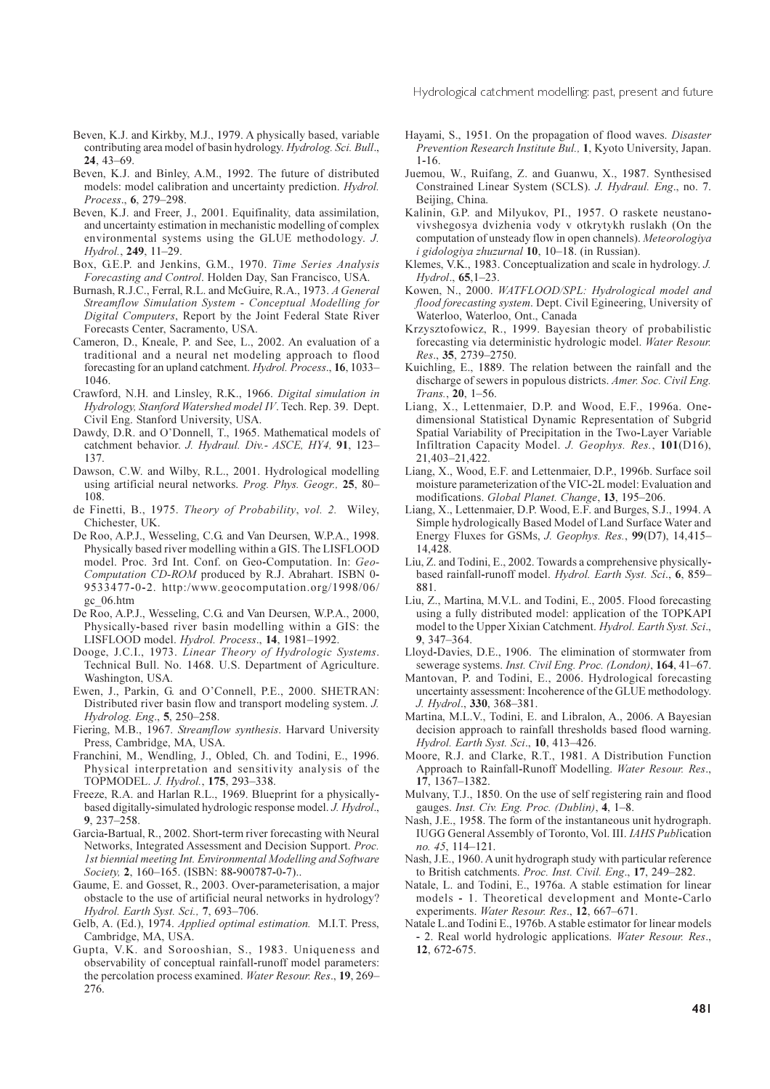Hydrological catchment modelling: past, present and future

- Beven, K.J. and Kirkby, M.J., 1979. A physically based, variable contributing area model of basin hydrology. Hydrolog. Sci. Bull.,  $24, 43 - 69$
- Beven, K.J. and Binley, A.M., 1992. The future of distributed models: model calibration and uncertainty prediction. Hydrol. Process., 6, 279-298.
- Beven, K.J. and Freer, J., 2001. Equifinality, data assimilation, and uncertainty estimation in mechanistic modelling of complex environmental systems using the GLUE methodology. J. Hydrol 249 11-29
- Box, G.E.P. and Jenkins, G.M., 1970. Time Series Analysis Forecasting and Control. Holden Day, San Francisco, USA.
- Burnash, R.J.C., Ferral, R.L. and McGuire, R.A., 1973. A General Streamflow Simulation System - Conceptual Modelling for Digital Computers, Report by the Joint Federal State River Forecasts Center, Sacramento, USA.
- Cameron, D., Kneale, P. and See, L., 2002. An evaluation of a traditional and a neural net modeling approach to flood forecasting for an upland catchment. *Hydrol. Process.*, 16, 1033– 1046.
- Crawford, N.H. and Linsley, R.K., 1966. Digital simulation in Hydrology, Stanford Watershed model IV. Tech. Rep. 39. Dept. Civil Eng. Stanford University, USA.
- Dawdy, D.R. and O'Donnell, T., 1965. Mathematical models of catchment behavior. J. Hydraul. Div.- ASCE, HY4, 91, 123-137.
- Dawson, C.W. and Wilby, R.L., 2001. Hydrological modelling using artificial neural networks. Prog. Phys. Geogr., 25, 80-108.
- de Finetti, B., 1975. Theory of Probability, vol. 2. Wiley, Chichester, UK.
- De Roo, A.P.J., Wesseling, C.G. and Van Deursen, W.P.A., 1998. Physically based river modelling within a GIS. The LISFLOOD model. Proc. 3rd Int. Conf. on Geo-Computation. In: Geo-Computation CD-ROM produced by R.J. Abrahart. ISBN 0-9533477-0-2. http:/www.geocomputation.org/1998/06/ gc 06.htm
- De Roo, A.P.J., Wesseling, C.G. and Van Deursen, W.P.A., 2000, Physically-based river basin modelling within a GIS: the LISFLOOD model. Hydrol. Process., 14, 1981-1992.
- Dooge, J.C.I., 1973. Linear Theory of Hydrologic Systems. Technical Bull. No. 1468. U.S. Department of Agriculture. Washington, USA.
- Ewen, J., Parkin, G. and O'Connell, P.E., 2000. SHETRAN: Distributed river basin flow and transport modeling system. J. Hydrolog. Eng., 5, 250-258.
- Fiering, M.B., 1967. Streamflow synthesis. Harvard University Press, Cambridge, MA, USA.
- Franchini, M., Wendling, J., Obled, Ch. and Todini, E., 1996. Physical interpretation and sensitivity analysis of the TOPMODEL. J. Hydrol., 175, 293-338.
- Freeze, R.A. and Harlan R.L., 1969. Blueprint for a physicallybased digitally-simulated hydrologic response model. J. Hydrol., 9, 237-258.
- Garcia-Bartual, R., 2002. Short-term river forecasting with Neural Networks, Integrated Assessment and Decision Support. Proc. 1st biennial meeting Int. Environmental Modelling and Software Society, 2, 160-165. (ISBN: 88-900787-0-7)..
- Gaume, E. and Gosset, R., 2003. Over-parameterisation, a major obstacle to the use of artificial neural networks in hydrology? Hydrol. Earth Syst. Sci., 7, 693-706.
- Gelb, A. (Ed.), 1974. Applied optimal estimation. M.I.T. Press, Cambridge, MA, USA.
- Gupta, V.K. and Sorooshian, S., 1983. Uniqueness and observability of conceptual rainfall-runoff model parameters: the percolation process examined. Water Resour. Res., 19, 269-276.
- Hayami, S., 1951. On the propagation of flood waves. Disaster Prevention Research Institute Bul., 1, Kyoto University, Japan.  $1 - 16$
- Juemou, W., Ruifang, Z. and Guanwu, X., 1987. Synthesised Constrained Linear System (SCLS). J. Hydraul. Eng., no. 7. Beijing, China.
- Kalinin, G.P. and Milyukov, PI., 1957. O raskete neustanovivshegosya dvizhenia vody v otkrytykh ruslakh (On the computation of unsteady flow in open channels). Meteorologiya i gidologiya zhuzurnal 10, 10-18. (in Russian).
- Klemes, V.K., 1983. Conceptualization and scale in hydrology. J. Hydrol., 65,1-23.
- Kowen, N., 2000. WATFLOOD/SPL: Hydrological model and flood forecasting system. Dept. Civil Egineering, University of Waterloo, Waterloo, Ont., Canada
- Krzysztofowicz, R., 1999. Bayesian theory of probabilistic forecasting via deterministic hydrologic model. Water Resour. Res., 35, 2739-2750.
- Kuichling, E., 1889. The relation between the rainfall and the discharge of sewers in populous districts. Amer. Soc. Civil Eng. Trans., 20, 1-56.
- Liang, X., Lettenmaier, D.P. and Wood, E.F., 1996a. Onedimensional Statistical Dynamic Representation of Subgrid Spatial Variability of Precipitation in the Two-Layer Variable Infiltration Capacity Model. J. Geophys. Res., 101(D16), 21,403-21,422.
- Liang, X., Wood, E.F. and Lettenmaier, D.P., 1996b. Surface soil moisture parameterization of the VIC-2L model: Evaluation and modifications. Global Planet. Change, 13, 195-206.
- Liang, X., Lettenmaier, D.P. Wood, E.F. and Burges, S.J., 1994. A Simple hydrologically Based Model of Land Surface Water and Energy Fluxes for GSMs, J. Geophys. Res., 99(D7), 14,415-14 4 28
- Liu, Z. and Todini, E., 2002. Towards a comprehensive physicallybased rainfall-runoff model. Hydrol. Earth Syst. Sci., 6, 859-881.
- Liu, Z., Martina, M.V.L. and Todini, E., 2005. Flood forecasting using a fully distributed model: application of the TOPKAPI model to the Upper Xixian Catchment. Hydrol. Earth Syst. Sci.,  $9.347 - 364$
- Lloyd-Davies, D.E., 1906. The elimination of stormwater from sewerage systems. Inst. Civil Eng. Proc. (London), 164, 41-67.
- Mantovan, P. and Todini, E., 2006. Hydrological forecasting uncertainty assessment: Incoherence of the GLUE methodology. J. Hydrol., 330, 368-381.
- Martina, M.L.V., Todini, E. and Libralon, A., 2006. A Bayesian decision approach to rainfall thresholds based flood warning. Hydrol. Earth Syst. Sci., 10, 413-426.
- Moore, R.J. and Clarke, R.T., 1981. A Distribution Function Approach to Rainfall-Runoff Modelling. Water Resour. Res., 17, 1367-1382.
- Mulvany, T.J., 1850. On the use of self registering rain and flood gauges. Inst. Civ. Eng. Proc. (Dublin), 4, 1-8.
- Nash, J.E., 1958. The form of the instantaneous unit hydrograph. IUGG General Assembly of Toronto, Vol. III. IAHS Publication no. 45, 114-121.
- Nash, J.E., 1960. A unit hydrograph study with particular reference to British catchments. Proc. Inst. Civil. Eng., 17, 249-282.
- Natale, L. and Todini, E., 1976a. A stable estimation for linear models - 1. Theoretical development and Monte-Carlo experiments. Water Resour. Res., 12, 667-671.
- Natale L.and Todini E., 1976b. A stable estimator for linear models - 2. Real world hydrologic applications. Water Resour. Res., 12, 672-675.